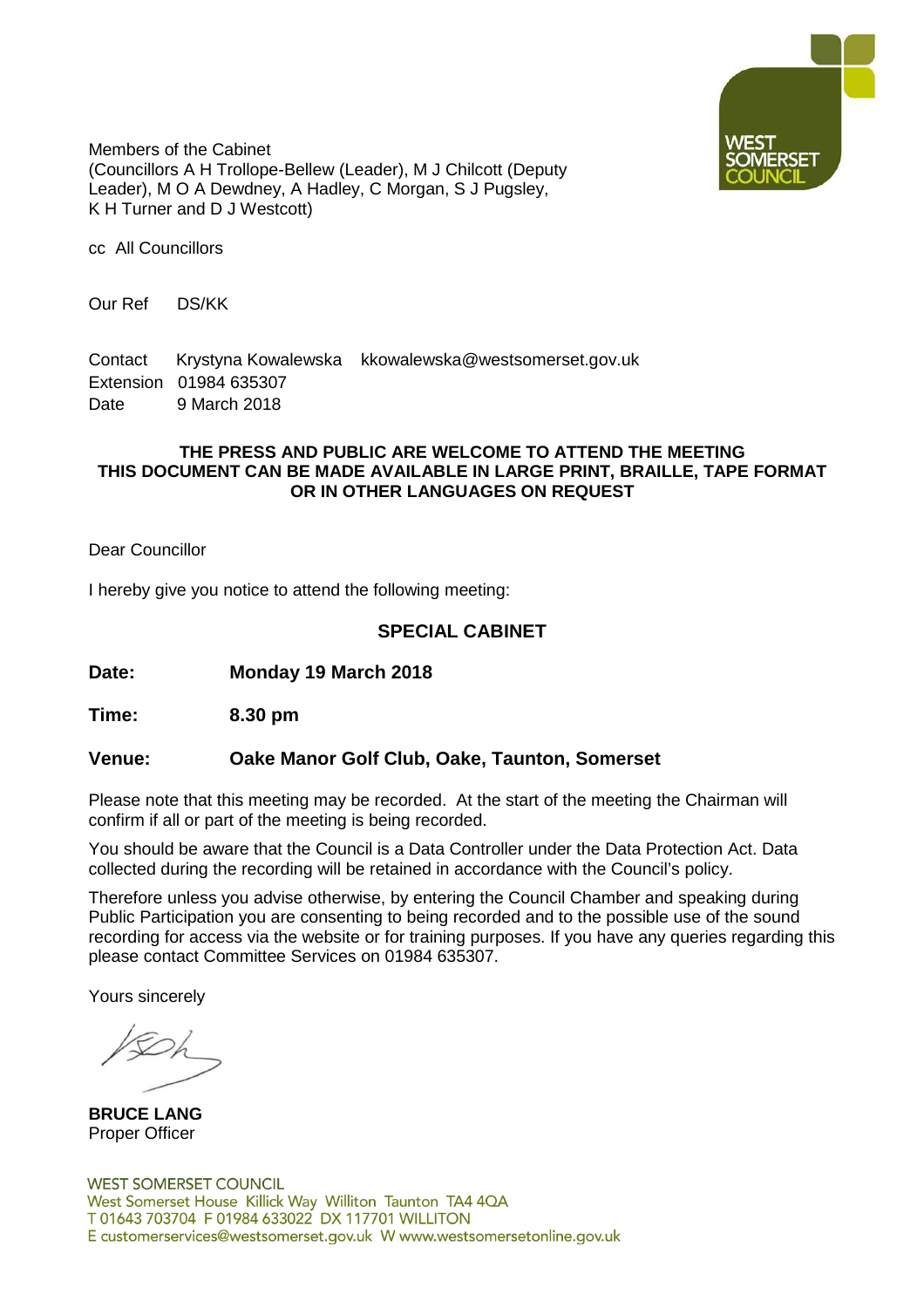

Members of the Cabinet (Councillors A H Trollope-Bellew (Leader), M J Chilcott (Deputy Leader), M O A Dewdney, A Hadley, C Morgan, S J Pugsley, K H Turner and D J Westcott)

cc All Councillors

Our Ref DS/KK

Contact Krystyna Kowalewska kkowalewska@westsomerset.gov.uk Extension 01984 635307 Date 9 March 2018

### **THE PRESS AND PUBLIC ARE WELCOME TO ATTEND THE MEETING THIS DOCUMENT CAN BE MADE AVAILABLE IN LARGE PRINT, BRAILLE, TAPE FORMAT OR IN OTHER LANGUAGES ON REQUEST**

Dear Councillor

I hereby give you notice to attend the following meeting:

### **SPECIAL CABINET**

**Date: Monday 19 March 2018**

**Time: 8.30 pm**

### **Venue: Oake Manor Golf Club, Oake, Taunton, Somerset**

Please note that this meeting may be recorded. At the start of the meeting the Chairman will confirm if all or part of the meeting is being recorded.

You should be aware that the Council is a Data Controller under the Data Protection Act. Data collected during the recording will be retained in accordance with the Council's policy.

Therefore unless you advise otherwise, by entering the Council Chamber and speaking during Public Participation you are consenting to being recorded and to the possible use of the sound recording for access via the website or for training purposes. If you have any queries regarding this please contact Committee Services on 01984 635307.

Yours sincerely

**BRUCE LANG** Proper Officer